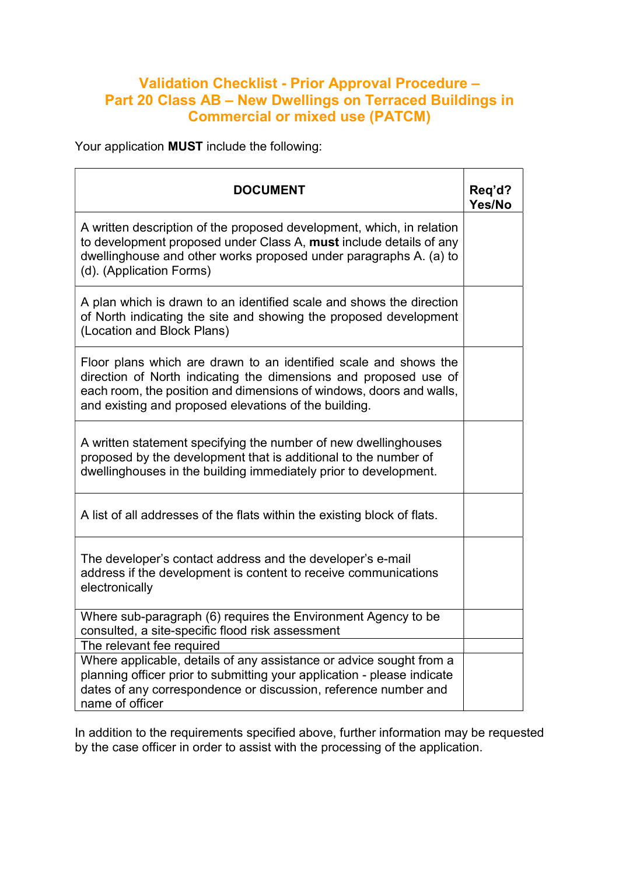## Validation Checklist - Prior Approval Procedure – Part 20 Class AB – New Dwellings on Terraced Buildings in Commercial or mixed use (PATCM)

Your application MUST include the following:

| <b>DOCUMENT</b>                                                                                                                                                                                                                                                      | Req'd?<br>Yes/No |
|----------------------------------------------------------------------------------------------------------------------------------------------------------------------------------------------------------------------------------------------------------------------|------------------|
| A written description of the proposed development, which, in relation<br>to development proposed under Class A, must include details of any<br>dwellinghouse and other works proposed under paragraphs A. (a) to<br>(d). (Application Forms)                         |                  |
| A plan which is drawn to an identified scale and shows the direction<br>of North indicating the site and showing the proposed development<br>(Location and Block Plans)                                                                                              |                  |
| Floor plans which are drawn to an identified scale and shows the<br>direction of North indicating the dimensions and proposed use of<br>each room, the position and dimensions of windows, doors and walls,<br>and existing and proposed elevations of the building. |                  |
| A written statement specifying the number of new dwellinghouses<br>proposed by the development that is additional to the number of<br>dwellinghouses in the building immediately prior to development.                                                               |                  |
| A list of all addresses of the flats within the existing block of flats.                                                                                                                                                                                             |                  |
| The developer's contact address and the developer's e-mail<br>address if the development is content to receive communications<br>electronically                                                                                                                      |                  |
| Where sub-paragraph (6) requires the Environment Agency to be<br>consulted, a site-specific flood risk assessment                                                                                                                                                    |                  |
| The relevant fee required                                                                                                                                                                                                                                            |                  |
| Where applicable, details of any assistance or advice sought from a<br>planning officer prior to submitting your application - please indicate<br>dates of any correspondence or discussion, reference number and<br>name of officer                                 |                  |

In addition to the requirements specified above, further information may be requested by the case officer in order to assist with the processing of the application.